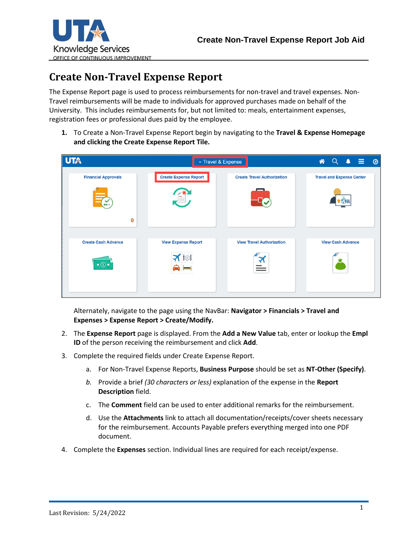

## **Create Non-Travel Expense Report**

The Expense Report page is used to process reimbursements for non-travel and travel expenses. Non-Travel reimbursements will be made to individuals for approved purchases made on behalf of the University. This includes reimbursements for, but not limited to: meals, entertainment expenses, registration fees or professional dues paid by the employee.

**1.** To Create a Non-Travel Expense Report begin by navigating to the **Travel & Expense Homepage and clicking the Create Expense Report Tile.**

| <b>UTA</b>                                |                              | v Travel & Expense                 | $\overline{\mathsf{Q}}$<br>- ≡<br>谷<br>$\blacktriangle$ |  |  |
|-------------------------------------------|------------------------------|------------------------------------|---------------------------------------------------------|--|--|
| <b>Financial Approvals</b><br><b>BRID</b> | <b>Create Expense Report</b> | <b>Create Travel Authorization</b> | <b>Travel and Expense Center</b>                        |  |  |
| 0<br><b>Create Cash Advance</b>           | <b>View Expense Report</b>   | <b>View Travel Authorization</b>   | <b>View Cash Advance</b>                                |  |  |
| $\bullet$ $\circ$                         | $\bigwedge$ $\bigcup$        | _                                  |                                                         |  |  |
|                                           |                              |                                    |                                                         |  |  |

Alternately, navigate to the page using the NavBar: **Navigator > Financials > Travel and Expenses > Expense Report > Create/Modify.**

- 2. The **Expense Report** page is displayed. From the **Add a New Value** tab, enter or lookup the **Empl ID** of the person receiving the reimbursement and click **Add**.
- 3. Complete the required fields under Create Expense Report.
	- a. For Non-Travel Expense Reports, **Business Purpose** should be set as **NT-Other (Specify)**.
	- *b.* Provide a brief *(30 characters or less)* explanation of the expense in the **Report Description** field.
	- c. The **Comment** field can be used to enter additional remarks for the reimbursement.
	- d. Use the **Attachments** link to attach all documentation/receipts/cover sheets necessary for the reimbursement. Accounts Payable prefers everything merged into one PDF document.
- 4. Complete the **Expenses** section. Individual lines are required for each receipt/expense.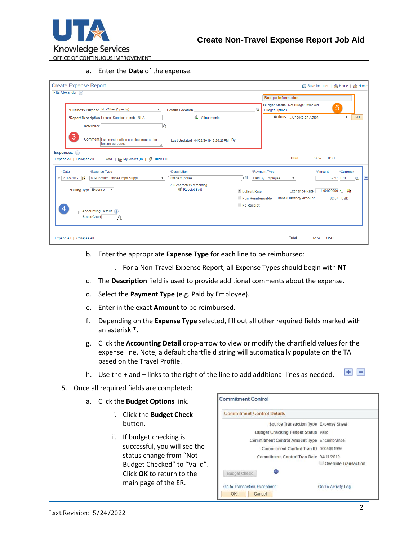

a. Enter the **Date** of the expense.

| <b>Create Expense Report</b>                                                           |                                             |                                       |                                                                  |                             | □ Save for Later   A Home   A Home |                           |                     |
|----------------------------------------------------------------------------------------|---------------------------------------------|---------------------------------------|------------------------------------------------------------------|-----------------------------|------------------------------------|---------------------------|---------------------|
| Nita Alexander (?)                                                                     |                                             |                                       | <b>Budget Information</b>                                        |                             |                                    |                           |                     |
| *Business Purpose NT-Other (Specify)<br>$\boldsymbol{\mathrm{v}}$                      | <b>Default Location</b>                     | $\overline{Q}$                        | <b>Budget Status Not Budget Checked</b><br><b>Budget Options</b> |                             |                                    | 5                         |                     |
| *Report Description Emerg. Supplies reimb - NBA                                        | Attachments                                 |                                       | <b>Actions</b>                                                   | Choose an Action            |                                    | $\boldsymbol{\mathrm{v}}$ | GO                  |
| Reference                                                                              |                                             |                                       |                                                                  |                             |                                    |                           |                     |
| 3<br>Comment Last minute office supplies needed for<br>testing purposes.               | Last Updated 04/22/2019 2:26:26PM By        |                                       |                                                                  |                             |                                    |                           |                     |
| Expenses ?<br>Add:   D, My Wallet (0)   # Quick-Fill<br>Expand All   Collapse All      |                                             |                                       |                                                                  | <b>Total</b>                | 32.57<br><b>USD</b>                |                           |                     |
| *Expense Type<br>*Date                                                                 | *Description                                |                                       | *Payment Type                                                    |                             | *Amount                            | *Currency                 |                     |
| NT-Consum Office/Cmptr Suppl<br>$\sqrt{04/17/2019}$<br>B1<br>$\boldsymbol{\mathrm{v}}$ | Office supplies<br>239 characters remaining | 回                                     | Paid By Employee                                                 | $\boldsymbol{\mathrm{v}}$   |                                    | 32.57 USD                 | $\overline{+}$<br>Q |
| *Billing Type Expense<br>$\boldsymbol{\mathrm{v}}$                                     | <b>Be Receipt Split</b>                     | Default Rate                          |                                                                  | *Exchange Rate              |                                    | 1.000000000 つ 鷗           |                     |
|                                                                                        |                                             | Non-Reimbursable<br>$\Box$ No Receipt |                                                                  | <b>Base Currency Amount</b> |                                    | 32.57 USD                 |                     |
| 4<br><b>Accounting Details 2</b><br>ब<br><b>SpeedChart</b>                             |                                             |                                       |                                                                  |                             |                                    |                           |                     |
| Expand All   Collapse All                                                              |                                             |                                       |                                                                  | <b>Total</b>                | <b>USD</b><br>32.57                |                           |                     |

- b. Enter the appropriate **Expense Type** for each line to be reimbursed:
	- i. For a Non-Travel Expense Report, all Expense Types should begin with **NT**
- c. The **Description** field is used to provide additional comments about the expense.
- d. Select the **Payment Type** (e.g. Paid by Employee).
- e. Enter in the exact **Amount** to be reimbursed.
- f. Depending on the **Expense Type** selected, fill out all other required fields marked with an asterisk \*.
- g. Click the **Accounting Detail** drop-arrow to view or modify the chartfield values for the expense line. Note, a default chartfield string will automatically populate on the TA based on the Travel Profile.
- $\blacksquare$ h. Use the **+** and **–** links to the right of the line to add additional lines as needed.
- 5. Once all required fields are completed:
	- a. Click the **Budget Options** link.
		- i. Click the **Budget Check** button.
		- ii. If budget checking is successful, you will see the status change from "Not Budget Checked" to "Valid". Click **OK** to return to the main page of the ER.

| <b>Commitment Control Details</b>                 |                      |
|---------------------------------------------------|----------------------|
| Source Transaction Type Expense Sheet             |                      |
| Budget Checking Header Status Valid               |                      |
| <b>Commitment Control Amount Type Encumbrance</b> |                      |
| Commitment Control Tran ID 0005091995             |                      |
| Commitment Control Tran Date 04/11/2019           |                      |
|                                                   | Override Transaction |
| O<br><b>Budget Check</b>                          |                      |
| Go to Transaction Exceptions                      | Go To Activity Log   |